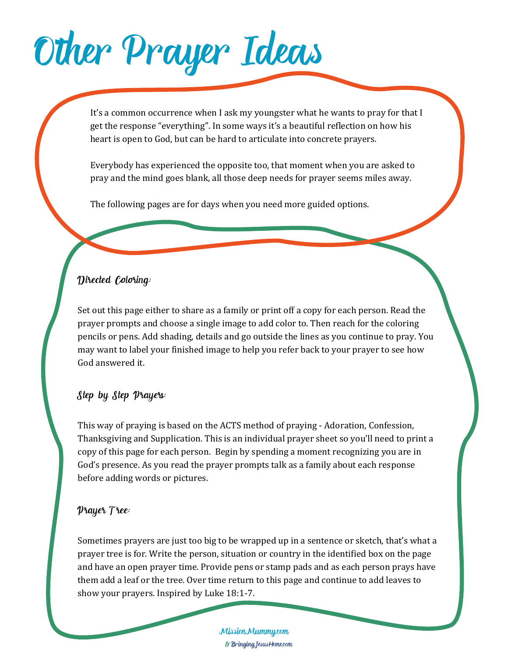## Other Prayer Ideas

It's a common occurrence when I ask my youngster what he wants to pray for that I get the response "everything". In some ways it's a beautiful reflection on how his heart is open to God, but can be hard to articulate into concrete prayers.

Everybody has experienced the opposite too, that moment when you are asked to pray and the mind goes blank, all those deep needs for prayer seems miles away.

The following pages are for days when you need more guided options.

#### Directed Coloring:

Set out this page either to share as a family or print off a copy for each person. Read the prayer prompts and choose a single image to add color to. Then reach for the coloring pencils or pens. Add shading, details and go outside the lines as you continue to pray. You may want to label your finished image to help you refer back to your prayer to see how God answered it.

#### Step by Step Prayers:

This way of praying is based on the ACTS method of praying - Adoration, Confession, Thanksgiving and Supplication. This is an individual prayer sheet so you'll need to print a copy of this page for each person. Begin by spending a moment recognizing you are in God's presence. As you read the prayer prompts talk as a family about each response before adding words or pictures.

#### Prayer Tree:

Sometimes prayers are just too big to be wrapped up in a sentence or sketch, that's what a prayer tree is for. Write the person, situation or country in the identified box on the page and have an open prayer time. Provide pens or stamp pads and as each person prays have them add a leaf or the tree. Over time return to this page and continue to add leaves to show your prayers. Inspired by Luke 18:1-7.

> MissionMummy.com & BringingJesusHome.com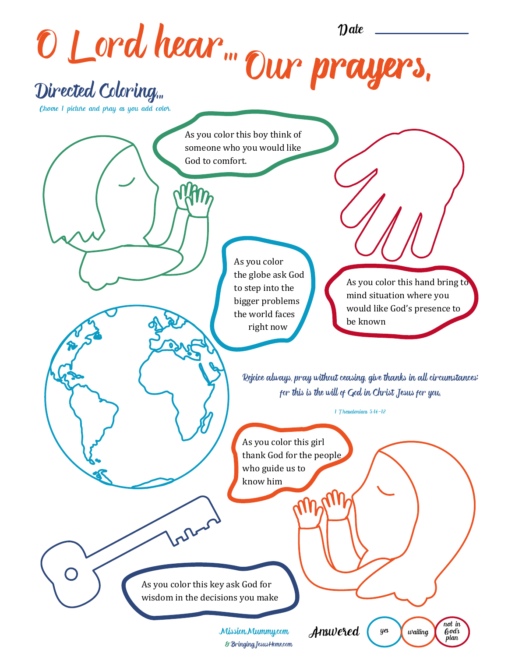O Lord hear... Our pra Rejoice always, pray without ceasing, give thanks in all circumstances; for this is the will of God in Christ Jesus for you. 1 Thessalonians 5:16-18 Directed Coloring... As you color this boy think of someone who you would like God to comfort. As you color this hand bring to mind situation where you would like God's presence to be known As you color this girl thank God for the people who guide us to know him As you color the globe ask God to step into the bigger problems the world faces right now As you color this key ask God for wisdom in the decisions you make Choose 1 picture and pray as you add color.  $y$ es  $\int$  waiting not in Answered  $\left(\begin{array}{cc} y^e \\ y^e \end{array}\right)$  waiting  $\left(\begin{array}{cc} \mu_0 \\ \mu_1 \\ \nu_2 \end{array}\right)$ MissionMummy.com

& BringingJesusHome.com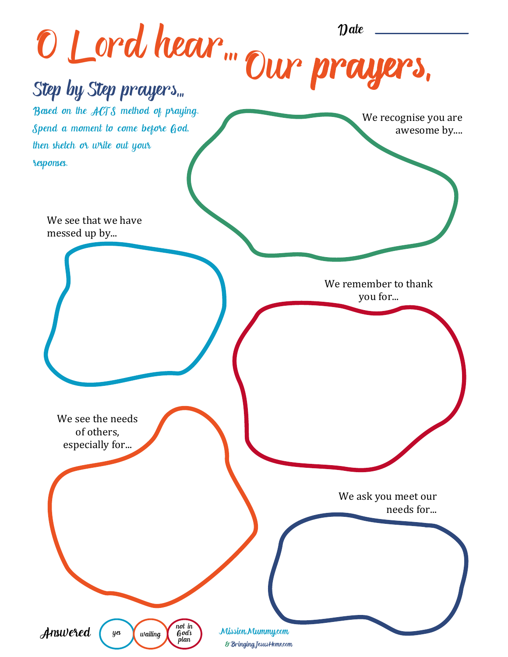